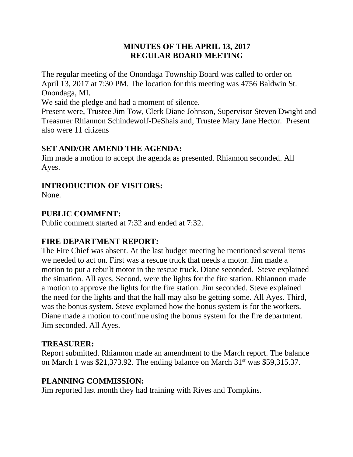## **MINUTES OF THE APRIL 13, 2017 REGULAR BOARD MEETING**

The regular meeting of the Onondaga Township Board was called to order on April 13, 2017 at 7:30 PM. The location for this meeting was 4756 Baldwin St. Onondaga, MI.

We said the pledge and had a moment of silence.

Present were, Trustee Jim Tow, Clerk Diane Johnson, Supervisor Steven Dwight and Treasurer Rhiannon Schindewolf-DeShais and, Trustee Mary Jane Hector. Present also were 11 citizens

#### **SET AND/OR AMEND THE AGENDA:**

Jim made a motion to accept the agenda as presented. Rhiannon seconded. All Ayes.

#### **INTRODUCTION OF VISITORS:**

None.

#### **PUBLIC COMMENT:**

Public comment started at 7:32 and ended at 7:32.

### **FIRE DEPARTMENT REPORT:**

The Fire Chief was absent. At the last budget meeting he mentioned several items we needed to act on. First was a rescue truck that needs a motor. Jim made a motion to put a rebuilt motor in the rescue truck. Diane seconded. Steve explained the situation. All ayes. Second, were the lights for the fire station. Rhiannon made a motion to approve the lights for the fire station. Jim seconded. Steve explained the need for the lights and that the hall may also be getting some. All Ayes. Third, was the bonus system. Steve explained how the bonus system is for the workers. Diane made a motion to continue using the bonus system for the fire department. Jim seconded. All Ayes.

#### **TREASURER:**

Report submitted. Rhiannon made an amendment to the March report. The balance on March 1 was \$21,373.92. The ending balance on March  $31<sup>st</sup>$  was \$59,315.37.

### **PLANNING COMMISSION:**

Jim reported last month they had training with Rives and Tompkins.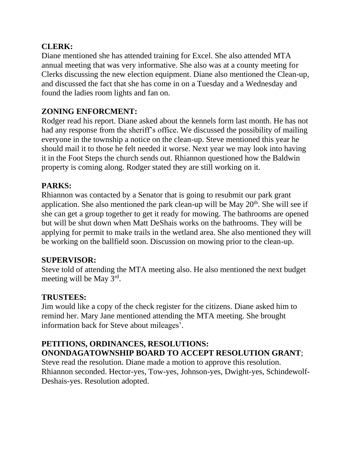## **CLERK:**

Diane mentioned she has attended training for Excel. She also attended MTA annual meeting that was very informative. She also was at a county meeting for Clerks discussing the new election equipment. Diane also mentioned the Clean-up, and discussed the fact that she has come in on a Tuesday and a Wednesday and found the ladies room lights and fan on.

# **ZONING ENFORCMENT:**

Rodger read his report. Diane asked about the kennels form last month. He has not had any response from the sheriff's office. We discussed the possibility of mailing everyone in the township a notice on the clean-up. Steve mentioned this year he should mail it to those he felt needed it worse. Next year we may look into having it in the Foot Steps the church sends out. Rhiannon questioned how the Baldwin property is coming along. Rodger stated they are still working on it.

# **PARKS:**

Rhiannon was contacted by a Senator that is going to resubmit our park grant application. She also mentioned the park clean-up will be May  $20<sup>th</sup>$ . She will see if she can get a group together to get it ready for mowing. The bathrooms are opened but will be shut down when Matt DeShais works on the bathrooms. They will be applying for permit to make trails in the wetland area. She also mentioned they will be working on the ballfield soon. Discussion on mowing prior to the clean-up.

### **SUPERVISOR:**

Steve told of attending the MTA meeting also. He also mentioned the next budget meeting will be May 3rd.

### **TRUSTEES:**

Jim would like a copy of the check register for the citizens. Diane asked him to remind her. Mary Jane mentioned attending the MTA meeting. She brought information back for Steve about mileages'.

# **PETITIONS, ORDINANCES, RESOLUTIONS: ONONDAGATOWNSHIP BOARD TO ACCEPT RESOLUTION GRANT**;

Steve read the resolution. Diane made a motion to approve this resolution. Rhiannon seconded. Hector-yes, Tow-yes, Johnson-yes, Dwight-yes, Schindewolf-Deshais-yes. Resolution adopted.